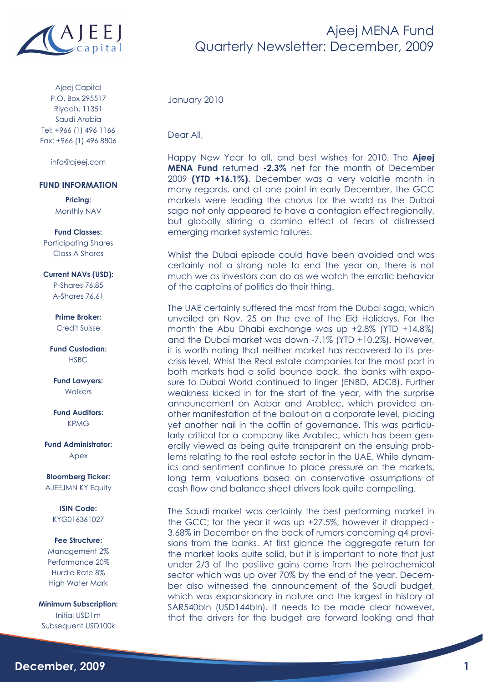

Ajeej Capital P.O. Box 295517 Riyadh, 11351 Saudi Arabia Tel: +966 (1) 496 1166 Fax: +966 (1) 496 8806

info@ajeej.com

### **FUND INFORMATION**

**Pricing:**  Monthly NAV

#### **Fund Classes:**

Participating Shares Class A Shares

### **Current NAVs (USD):**

P-Shares 76.85 A-Shares 76.61

### **Prime Broker:**

Credit Suisse

**Fund Custodian: HSBC** 

**Fund Lawyers: Walkers** 

**Fund Auditors:**  KPMG

**Fund Administrator:**  Apex

**Bloomberg Ticker:**  AJEEJMN KY Equity

**ISIN Code:**  KYG016361027

### **Fee Structure:**

Management 2% Performance 20% Hurdle Rate 8% High Water Mark

**Minimum Subscription:**  Initial USD1m Subsequent USD100k

January 2010

Dear All,

Happy New Year to all, and best wishes for 2010. The **Ajeej MENA Fund** returned **-2.3%** net for the month of December 2009 **(YTD +16.1%)**. December was a very volatile month in many regards, and at one point in early December, the GCC markets were leading the chorus for the world as the Dubai saga not only appeared to have a contagion effect regionally, but globally stirring a domino effect of fears of distressed emerging market systemic failures.

Whilst the Dubai episode could have been avoided and was certainly not a strong note to end the year on, there is not much we as investors can do as we watch the erratic behavior of the captains of politics do their thing.

The UAE certainly suffered the most from the Dubai saga, which unveiled on Nov. 25 on the eve of the Eid Holidays. For the month the Abu Dhabi exchange was up +2.8% (YTD +14.8%) and the Dubai market was down -7.1% (YTD +10.2%). However, it is worth noting that neither market has recovered to its precrisis level. Whist the Real estate companies for the most part in both markets had a solid bounce back, the banks with exposure to Dubai World continued to linger (ENBD, ADCB). Further weakness kicked in for the start of the year, with the surprise announcement on Aabar and Arabtec, which provided another manifestation of the bailout on a corporate level, placing yet another nail in the coffin of governance. This was particularly critical for a company like Arabtec, which has been generally viewed as being quite transparent on the ensuing problems relating to the real estate sector in the UAE. While dynamics and sentiment continue to place pressure on the markets, long term valuations based on conservative assumptions of cash flow and balance sheet drivers look quite compelling.

The Saudi market was certainly the best performing market in the GCC; for the year it was up +27.5%, however it dropped - 3.68% in December on the back of rumors concerning q4 provisions from the banks. At first glance the aggregate return for the market looks quite solid, but it is important to note that just under 2/3 of the positive gains came from the petrochemical sector which was up over 70% by the end of the year. December also witnessed the announcement of the Saudi budget, which was expansionary in nature and the largest in history at SAR540bln (USD144bln). It needs to be made clear however, that the drivers for the budget are forward looking and that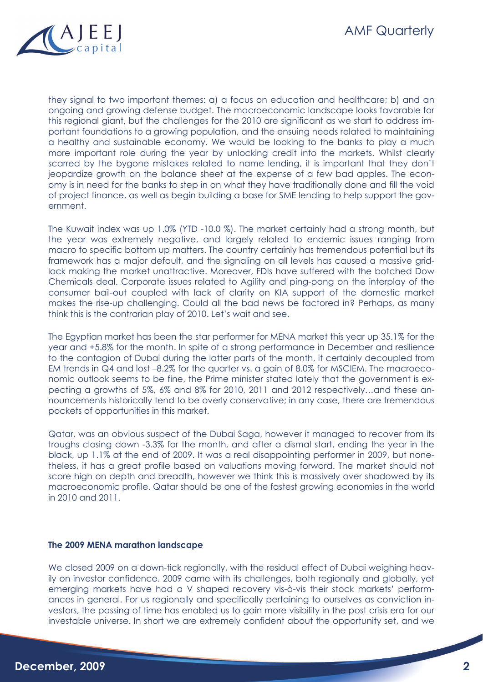

they signal to two important themes: a) a focus on education and healthcare; b) and an ongoing and growing defense budget. The macroeconomic landscape looks favorable for this regional giant, but the challenges for the 2010 are significant as we start to address important foundations to a growing population, and the ensuing needs related to maintaining a healthy and sustainable economy. We would be looking to the banks to play a much more important role during the year by unlocking credit into the markets. Whilst clearly scarred by the bygone mistakes related to name lending, it is important that they don't jeopardize growth on the balance sheet at the expense of a few bad apples. The economy is in need for the banks to step in on what they have traditionally done and fill the void of project finance, as well as begin building a base for SME lending to help support the government.

The Kuwait index was up 1.0% (YTD -10.0 %). The market certainly had a strong month, but the year was extremely negative, and largely related to endemic issues ranging from macro to specific bottom up matters. The country certainly has tremendous potential but its framework has a major default, and the signaling on all levels has caused a massive gridlock making the market unattractive. Moreover, FDIs have suffered with the botched Dow Chemicals deal. Corporate issues related to Agility and ping-pong on the interplay of the consumer bail-out coupled with lack of clarity on KIA support of the domestic market makes the rise-up challenging. Could all the bad news be factored in? Perhaps, as many think this is the contrarian play of 2010. Let's wait and see.

The Egyptian market has been the star performer for MENA market this year up 35.1% for the year and +5.8% for the month. In spite of a strong performance in December and resilience to the contagion of Dubai during the latter parts of the month, it certainly decoupled from EM trends in Q4 and lost –8.2% for the quarter vs. a gain of 8.0% for MSCIEM. The macroeconomic outlook seems to be fine, the Prime minister stated lately that the government is expecting a growths of 5%, 6% and 8% for 2010, 2011 and 2012 respectively…and these announcements historically tend to be overly conservative; in any case, there are tremendous pockets of opportunities in this market.

Qatar, was an obvious suspect of the Dubai Saga, however it managed to recover from its troughs closing down -3.3% for the month, and after a dismal start, ending the year in the black, up 1.1% at the end of 2009. It was a real disappointing performer in 2009, but nonetheless, it has a great profile based on valuations moving forward. The market should not score high on depth and breadth, however we think this is massively over shadowed by its macroeconomic profile. Qatar should be one of the fastest growing economies in the world in 2010 and 2011.

### **The 2009 MENA marathon landscape**

We closed 2009 on a down-tick regionally, with the residual effect of Dubai weighing heavily on investor confidence. 2009 came with its challenges, both regionally and globally, yet emerging markets have had a V shaped recovery vis-à-vis their stock markets' performances in general. For us regionally and specifically pertaining to ourselves as conviction investors, the passing of time has enabled us to gain more visibility in the post crisis era for our investable universe. In short we are extremely confident about the opportunity set, and we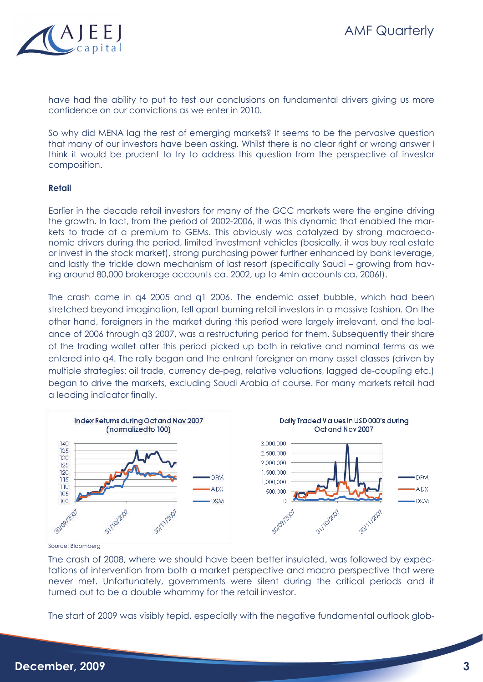

have had the ability to put to test our conclusions on fundamental drivers giving us more confidence on our convictions as we enter in 2010.

So why did MENA lag the rest of emerging markets? It seems to be the pervasive question that many of our investors have been asking. Whilst there is no clear right or wrong answer I think it would be prudent to try to address this question from the perspective of investor composition.

## **Retail**

Earlier in the decade retail investors for many of the GCC markets were the engine driving the growth. In fact, from the period of 2002-2006, it was this dynamic that enabled the markets to trade at a premium to GEMs. This obviously was catalyzed by strong macroeconomic drivers during the period, limited investment vehicles (basically, it was buy real estate or invest in the stock market), strong purchasing power further enhanced by bank leverage, and lastly the trickle down mechanism of last resort (specifically Saudi – growing from having around 80,000 brokerage accounts ca. 2002, up to 4mln accounts ca. 2006!).

The crash came in q4 2005 and q1 2006. The endemic asset bubble, which had been stretched beyond imagination, fell apart burning retail investors in a massive fashion. On the other hand, foreigners in the market during this period were largely irrelevant, and the balance of 2006 through q3 2007, was a restructuring period for them. Subsequently their share of the trading wallet after this period picked up both in relative and nominal terms as we entered into q4. The rally began and the entrant foreigner on many asset classes (driven by multiple strategies: oil trade, currency de-peg, relative valuations, lagged de-coupling etc.) began to drive the markets, excluding Saudi Arabia of course. For many markets retail had a leading indicator finally.



Source: Bloomberg

The crash of 2008, where we should have been better insulated, was followed by expectations of intervention from both a market perspective and macro perspective that were never met. Unfortunately, governments were silent during the critical periods and it turned out to be a double whammy for the retail investor.

The start of 2009 was visibly tepid, especially with the negative fundamental outlook glob-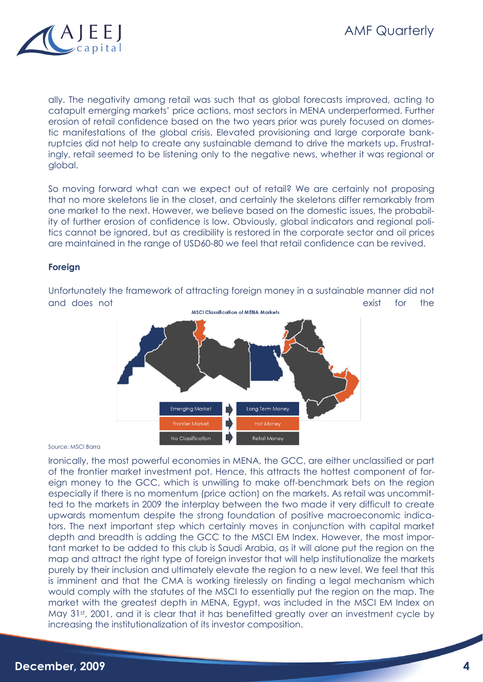ally. The negativity among retail was such that as global forecasts improved, acting to catapult emerging markets' price actions, most sectors in MENA underperformed. Further erosion of retail confidence based on the two years prior was purely focused on domestic manifestations of the global crisis. Elevated provisioning and large corporate bankruptcies did not help to create any sustainable demand to drive the markets up. Frustratingly, retail seemed to be listening only to the negative news, whether it was regional or global.

So moving forward what can we expect out of retail? We are certainly not proposing that no more skeletons lie in the closet, and certainly the skeletons differ remarkably from one market to the next. However, we believe based on the domestic issues, the probability of further erosion of confidence is low. Obviously, global indicators and regional politics cannot be ignored, but as credibility is restored in the corporate sector and oil prices are maintained in the range of USD60-80 we feel that retail confidence can be revived.

# **Foreign**



Unfortunately the framework of attracting foreign money in a sustainable manner did not and does not exist for the media of MENA Markets and the exist for the media of MENA Markets exist for the media of MENA Markets existed in the media of MENA Markets and the media of MENA Markets and the media of MENA Mark

#### Source: MSCI Barra

Ironically, the most powerful economies in MENA, the GCC, are either unclassified or part of the frontier market investment pot. Hence, this attracts the hottest component of foreign money to the GCC, which is unwilling to make off-benchmark bets on the region especially if there is no momentum (price action) on the markets. As retail was uncommitted to the markets in 2009 the interplay between the two made it very difficult to create upwards momentum despite the strong foundation of positive macroeconomic indicators. The next important step which certainly moves in conjunction with capital market depth and breadth is adding the GCC to the MSCI EM Index. However, the most important market to be added to this club is Saudi Arabia, as it will alone put the region on the map and attract the right type of foreign investor that will help institutionalize the markets purely by their inclusion and ultimately elevate the region to a new level. We feel that this is imminent and that the CMA is working tirelessly on finding a legal mechanism which would comply with the statutes of the MSCI to essentially put the region on the map. The market with the greatest depth in MENA, Egypt, was included in the MSCI EM Index on May 31st, 2001, and it is clear that it has benefitted greatly over an investment cycle by increasing the institutionalization of its investor composition.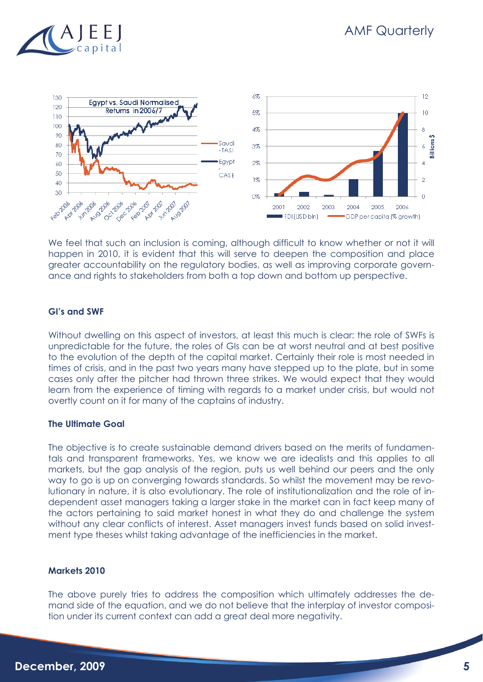



We feel that such an inclusion is coming, although difficult to know whether or not it will happen in 2010, it is evident that this will serve to deepen the composition and place greater accountability on the regulatory bodies, as well as improving corporate governance and rights to stakeholders from both a top down and bottom up perspective.

# **GI's and SWF**

Without dwelling on this aspect of investors, at least this much is clear: the role of SWFs is unpredictable for the future, the roles of GIs can be at worst neutral and at best positive to the evolution of the depth of the capital market. Certainly their role is most needed in times of crisis, and in the past two years many have stepped up to the plate, but in some cases only after the pitcher had thrown three strikes. We would expect that they would learn from the experience of timing with regards to a market under crisis, but would not overtly count on it for many of the captains of industry.

# **The Ultimate Goal**

The objective is to create sustainable demand drivers based on the merits of fundamentals and transparent frameworks. Yes, we know we are idealists and this applies to all markets, but the gap analysis of the region, puts us well behind our peers and the only way to go is up on converging towards standards. So whilst the movement may be revolutionary in nature, it is also evolutionary. The role of institutionalization and the role of independent asset managers taking a larger stake in the market can in fact keep many of the actors pertaining to said market honest in what they do and challenge the system without any clear conflicts of interest. Asset managers invest funds based on solid investment type theses whilst taking advantage of the inefficiencies in the market.

# **Markets 2010**

The above purely tries to address the composition which ultimately addresses the demand side of the equation, and we do not believe that the interplay of investor composition under its current context can add a great deal more negativity.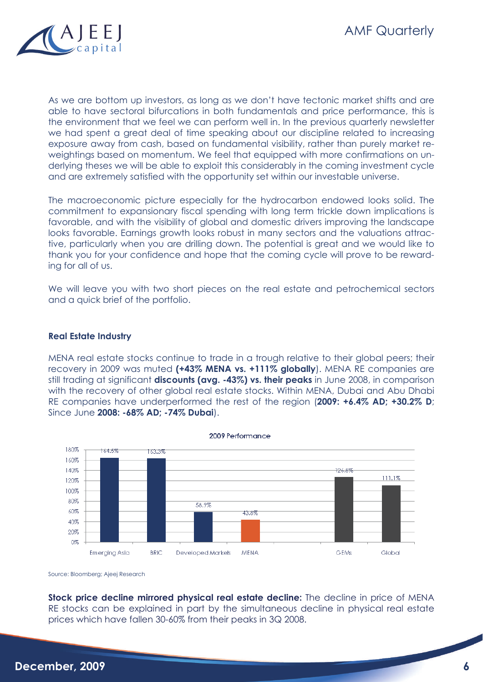

As we are bottom up investors, as long as we don't have tectonic market shifts and are able to have sectoral bifurcations in both fundamentals and price performance, this is the environment that we feel we can perform well in. In the previous quarterly newsletter we had spent a great deal of time speaking about our discipline related to increasing exposure away from cash, based on fundamental visibility, rather than purely market reweightings based on momentum. We feel that equipped with more confirmations on underlying theses we will be able to exploit this considerably in the coming investment cycle and are extremely satisfied with the opportunity set within our investable universe.

The macroeconomic picture especially for the hydrocarbon endowed looks solid. The commitment to expansionary fiscal spending with long term trickle down implications is favorable, and with the visibility of global and domestic drivers improving the landscape looks favorable. Earnings growth looks robust in many sectors and the valuations attractive, particularly when you are drilling down. The potential is great and we would like to thank you for your confidence and hope that the coming cycle will prove to be rewarding for all of us.

We will leave you with two short pieces on the real estate and petrochemical sectors and a quick brief of the portfolio.

## **Real Estate Industry**

MENA real estate stocks continue to trade in a trough relative to their global peers; their recovery in 2009 was muted **(+43% MENA vs. +111% globally**). MENA RE companies are still trading at significant **discounts (avg. -43%) vs. their peaks** in June 2008, in comparison with the recovery of other global real estate stocks. Within MENA, Dubai and Abu Dhabi RE companies have underperformed the rest of the region (**2009: +6.4% AD; +30.2% D**; Since June **2008: -68% AD; -74% Dubai**).



Source: Bloomberg; Ajeej Research

**Stock price decline mirrored physical real estate decline:** The decline in price of MENA RE stocks can be explained in part by the simultaneous decline in physical real estate prices which have fallen 30-60% from their peaks in 3Q 2008.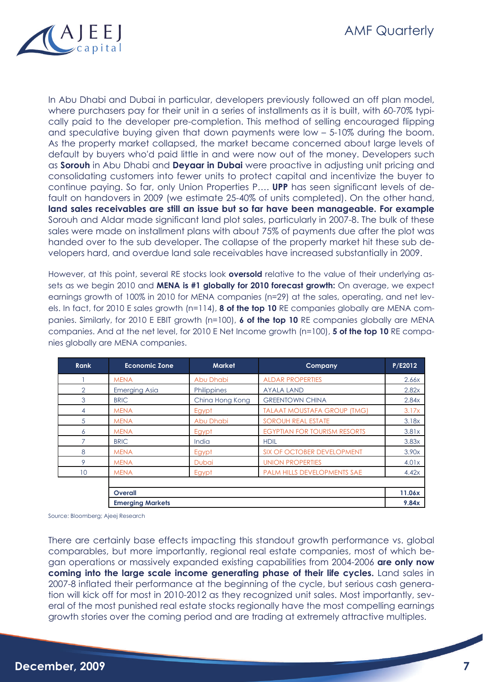

In Abu Dhabi and Dubai in particular, developers previously followed an off plan model, where purchasers pay for their unit in a series of installments as it is built, with 60-70% typically paid to the developer pre-completion. This method of selling encouraged flipping and speculative buying given that down payments were low – 5-10% during the boom. As the property market collapsed, the market became concerned about large levels of default by buyers who'd paid little in and were now out of the money. Developers such as **Sorouh** in Abu Dhabi and **Deyaar in Dubai** were proactive in adjusting unit pricing and consolidating customers into fewer units to protect capital and incentivize the buyer to continue paying. So far, only Union Properties P…. **UPP** has seen significant levels of default on handovers in 2009 (we estimate 25-40% of units completed). On the other hand, **land sales receivables are still an issue but so far have been manageable. For example**  Sorouh and Aldar made significant land plot sales, particularly in 2007-8. The bulk of these sales were made on installment plans with about 75% of payments due after the plot was handed over to the sub developer. The collapse of the property market hit these sub developers hard, and overdue land sale receivables have increased substantially in 2009.

However, at this point, several RE stocks look **oversold** relative to the value of their underlying assets as we begin 2010 and **MENA is #1 globally for 2010 forecast growth:** On average, we expect earnings growth of 100% in 2010 for MENA companies (n=29) at the sales, operating, and net levels. In fact, for 2010 E sales growth (n=114), **8 of the top 10** RE companies globally are MENA companies. Similarly, for 2010 E EBIT growth (n=100), **6 of the top 10** RE companies globally are MENA companies. And at the net level, for 2010 E Net Income growth (n=100), **5 of the top 10** RE companies globally are MENA companies.

| <b>Rank</b>   | <b>Economic Zone</b>    | <b>Market</b>   | Company                             | P/E2012 |
|---------------|-------------------------|-----------------|-------------------------------------|---------|
|               | <b>MENA</b>             | Abu Dhabi       | <b>ALDAR PROPERTIES</b>             | 2.66x   |
| $\mathcal{P}$ | <b>Emerging Asia</b>    | Philippines     | <b>AYALA LAND</b>                   | 2.82x   |
| 3             | <b>BRIC</b>             | China Hong Kong | <b>GREENTOWN CHINA</b>              | 2.84x   |
| 4             | <b>MENA</b>             | Egypt           | <b>TALAAT MOUSTAFA GROUP (TMG)</b>  | 3.17x   |
| 5             | <b>MENA</b>             | Abu Dhabi       | <b>SOROUH REAL ESTATE</b>           | 3.18x   |
| 6             | <b>MENA</b>             | Egypt           | <b>EGYPTIAN FOR TOURISM RESORTS</b> | 3.81x   |
|               | <b>BRIC</b>             | India           | <b>HDIL</b>                         | 3.83x   |
| 8             | <b>MENA</b>             | Egypt           | SIX OF OCTOBER DEVELOPMENT          | 3.90x   |
| 9             | <b>MENA</b>             | <b>Dubai</b>    | <b>UNION PROPERTIES</b>             | 4.01x   |
| 10            | <b>MENA</b>             | Egypt           | <b>PALM HILLS DEVELOPMENTS SAE</b>  | 4.42x   |
|               |                         |                 |                                     |         |
|               | <b>Overall</b>          |                 |                                     | 11.06x  |
|               | <b>Emerging Markets</b> |                 |                                     | 9.84x   |

Source: Bloomberg; Ajeej Research

There are certainly base effects impacting this standout growth performance vs. global comparables, but more importantly, regional real estate companies, most of which began operations or massively expanded existing capabilities from 2004-2006 **are only now coming into the large scale income generating phase of their life cycles.** Land sales in 2007-8 inflated their performance at the beginning of the cycle, but serious cash generation will kick off for most in 2010-2012 as they recognized unit sales. Most importantly, several of the most punished real estate stocks regionally have the most compelling earnings growth stories over the coming period and are trading at extremely attractive multiples.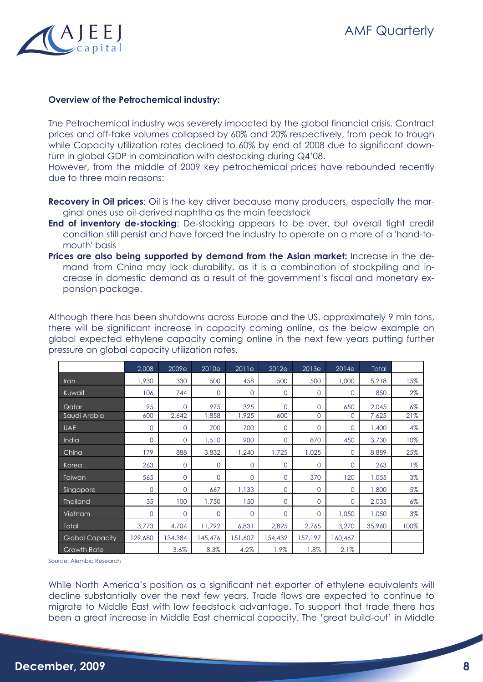

## **Overview of the Petrochemical industry:**

The Petrochemical industry was severely impacted by the global financial crisis. Contract prices and off-take volumes collapsed by 60% and 20% respectively, from peak to trough while Capacity utilization rates declined to 60% by end of 2008 due to significant downturn in global GDP in combination with destocking during Q4'08.

However, from the middle of 2009 key petrochemical prices have rebounded recently due to three main reasons:

- **Recovery in Oil prices**: Oil is the key driver because many producers, especially the marginal ones use oil-derived naphtha as the main feedstock
- **End of inventory de-stocking**: De-stocking appears to be over, but overall tight credit condition still persist and have forced the industry to operate on a more of a 'hand-tomouth' basis
- **Prices are also being supported by demand from the Asian market:** Increase in the demand from China may lack durability, as it is a combination of stockpiling and increase in domestic demand as a result of the government's fiscal and monetary expansion package.

Although there has been shutdowns across Europe and the US, approximately 9 mln tons, there will be significant increase in capacity coming online, as the below example on global expected ethylene capacity coming online in the next few years putting further pressure on global capacity utilization rates.

|                        | 2,008          | 2009e        | 2010e    | 2011e          | 2012e          | 2013e    | 2014e        | Total  |       |
|------------------------|----------------|--------------|----------|----------------|----------------|----------|--------------|--------|-------|
| Iran                   | 1,930          | 330          | 500      | 458            | 500            | 500      | 1,000        | 5,218  | 15%   |
| Kuwait                 | 106            | 744          | $\Omega$ | $\Omega$       | $\Omega$       | $\Omega$ | $\Omega$     | 850    | $2\%$ |
| Qatar                  | 95             | $\mathbf{0}$ | 975      | 325            | $\overline{0}$ | $\Omega$ | 650          | 2,045  | $6\%$ |
| Saudi Arabia           | 600            | 2,642        | 1,858    | 1,925          | 600            | $\Omega$ | $\Omega$     | 7,625  | 21%   |
| <b>UAE</b>             | $\overline{0}$ | $\mathbf{0}$ | 700      | 700            | $\overline{0}$ | $\circ$  | $\mathbf{O}$ | 1,400  | 4%    |
| India                  | $\Omega$       | $\mathbf{O}$ | 1,510    | 900            | $\overline{0}$ | 870      | 450          | 3,730  | 10%   |
| China                  | 179            | 888          | 3,832    | 1,240          | 1,725          | 1,025    | $\mathbf{O}$ | 8,889  | 25%   |
| Korea                  | 263            | $\mathbf{O}$ | $\circ$  | $\overline{0}$ | $\circ$        | $\circ$  | $\mathbf{O}$ | 263    | $1\%$ |
| Taiwan                 | 565            | $\mathbf{0}$ | $\circ$  | $\mathbf{0}$   | $\overline{0}$ | 370      | 120          | 1,055  | 3%    |
| Singapore              | $\Omega$       | $\mathbf{0}$ | 667      | 1,133          | $\mathbf 0$    | $\Omega$ | $\mathbf{0}$ | 1,800  | 5%    |
| <b>Thailand</b>        | 35             | 100          | 1,750    | 150            | $\circ$        | $\Omega$ | $\mathbf{O}$ | 2,035  | $6\%$ |
| Vietnam                | $\Omega$       | $\Omega$     | $\Omega$ | $\Omega$       | $\Omega$       | $\Omega$ | 1,050        | 1,050  | 3%    |
| Total                  | 3,773          | 4,704        | 11,792   | 6,831          | 2,825          | 2,765    | 3,270        | 35,960 | 100%  |
| <b>Global Capacity</b> | 129,680        | 134,384      | 145,476  | 151,607        | 154,432        | 157,197  | 160,467      |        |       |
| Growth Rate            |                | 3.6%         | 8.3%     | 4.2%           | 1.9%           | 1.8%     | 2.1%         |        |       |

Source: Alembic Research

While North America's position as a significant net exporter of ethylene equivalents will decline substantially over the next few years. Trade flows are expected to continue to migrate to Middle East with low feedstock advantage. To support that trade there has been a great increase in Middle East chemical capacity. The 'great build-out' in Middle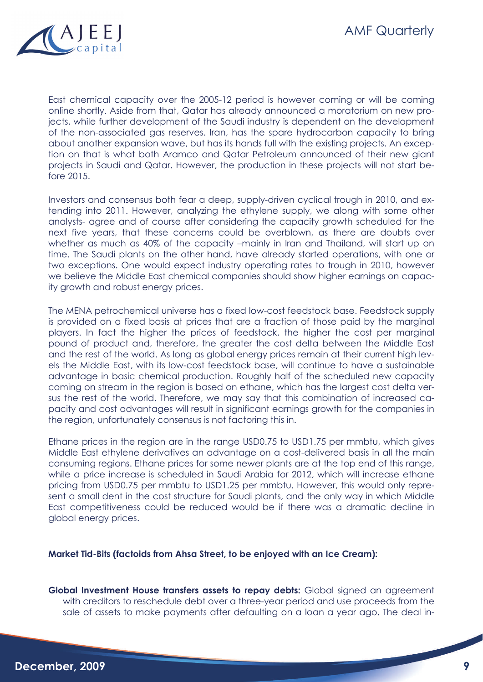

East chemical capacity over the 2005-12 period is however coming or will be coming online shortly. Aside from that, Qatar has already announced a moratorium on new projects, while further development of the Saudi industry is dependent on the development of the non-associated gas reserves. Iran, has the spare hydrocarbon capacity to bring about another expansion wave, but has its hands full with the existing projects. An exception on that is what both Aramco and Qatar Petroleum announced of their new giant projects in Saudi and Qatar. However, the production in these projects will not start before 2015.

Investors and consensus both fear a deep, supply-driven cyclical trough in 2010, and extending into 2011. However, analyzing the ethylene supply, we along with some other analysts- agree and of course after considering the capacity growth scheduled for the next five years, that these concerns could be overblown, as there are doubts over whether as much as 40% of the capacity –mainly in Iran and Thailand, will start up on time. The Saudi plants on the other hand, have already started operations, with one or two exceptions. One would expect industry operating rates to trough in 2010, however we believe the Middle East chemical companies should show higher earnings on capacity growth and robust energy prices.

The MENA petrochemical universe has a fixed low-cost feedstock base. Feedstock supply is provided on a fixed basis at prices that are a fraction of those paid by the marginal players. In fact the higher the prices of feedstock, the higher the cost per marginal pound of product and, therefore, the greater the cost delta between the Middle East and the rest of the world. As long as global energy prices remain at their current high levels the Middle East, with its low-cost feedstock base, will continue to have a sustainable advantage in basic chemical production. Roughly half of the scheduled new capacity coming on stream in the region is based on ethane, which has the largest cost delta versus the rest of the world. Therefore, we may say that this combination of increased capacity and cost advantages will result in significant earnings growth for the companies in the region, unfortunately consensus is not factoring this in.

Ethane prices in the region are in the range USD0.75 to USD1.75 per mmbtu, which gives Middle East ethylene derivatives an advantage on a cost-delivered basis in all the main consuming regions. Ethane prices for some newer plants are at the top end of this range, while a price increase is scheduled in Saudi Arabia for 2012, which will increase ethane pricing from USD0.75 per mmbtu to USD1.25 per mmbtu. However, this would only represent a small dent in the cost structure for Saudi plants, and the only way in which Middle East competitiveness could be reduced would be if there was a dramatic decline in global energy prices.

# **Market Tid-Bits (factoids from Ahsa Street, to be enjoyed with an Ice Cream):**

**Global Investment House transfers assets to repay debts:** Global signed an agreement with creditors to reschedule debt over a three-year period and use proceeds from the sale of assets to make payments after defaulting on a loan a year ago. The deal in-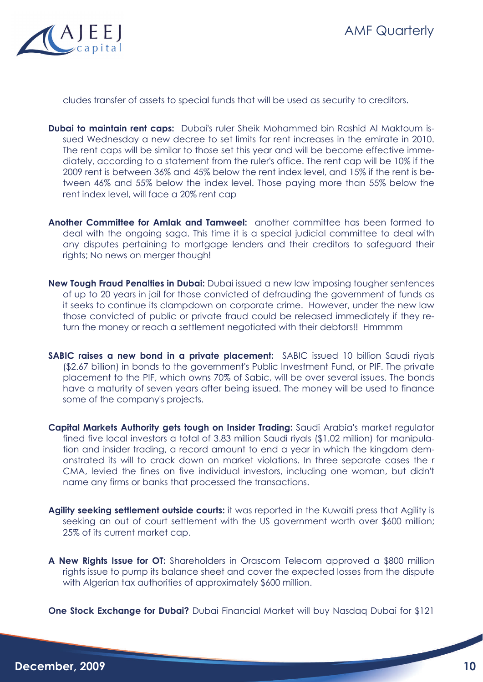



cludes transfer of assets to special funds that will be used as security to creditors.

- **Dubai to maintain rent caps:** Dubai's ruler Sheik Mohammed bin Rashid Al Maktoum issued Wednesday a new decree to set limits for rent increases in the emirate in 2010. The rent caps will be similar to those set this year and will be become effective immediately, according to a statement from the ruler's office. The rent cap will be 10% if the 2009 rent is between 36% and 45% below the rent index level, and 15% if the rent is between 46% and 55% below the index level. Those paying more than 55% below the rent index level, will face a 20% rent cap
- **Another Committee for Amlak and Tamweel:** another committee has been formed to deal with the ongoing saga. This time it is a special judicial committee to deal with any disputes pertaining to mortgage lenders and their creditors to safeguard their rights; No news on merger though!
- **New Tough Fraud Penalties in Dubai:** Dubai issued a new law imposing tougher sentences of up to 20 years in jail for those convicted of defrauding the government of funds as it seeks to continue its clampdown on corporate crime. However, under the new law those convicted of public or private fraud could be released immediately if they return the money or reach a settlement negotiated with their debtors!! Hmmmm
- **SABIC raises a new bond in a private placement:** SABIC issued 10 billion Saudi riyals (\$2.67 billion) in bonds to the government's Public Investment Fund, or PIF. The private placement to the PIF, which owns 70% of Sabic, will be over several issues. The bonds have a maturity of seven years after being issued. The money will be used to finance some of the company's projects.
- **Capital Markets Authority gets tough on Insider Trading:** Saudi Arabia's market regulator fined five local investors a total of 3.83 million Saudi riyals (\$1.02 million) for manipulation and insider trading, a record amount to end a year in which the kingdom demonstrated its will to crack down on market violations. In three separate cases the r CMA, levied the fines on five individual investors, including one woman, but didn't name any firms or banks that processed the transactions.
- Agility seeking settlement outside courts: it was reported in the Kuwaiti press that Agility is seeking an out of court settlement with the US government worth over \$600 million; 25% of its current market cap.
- **A New Rights Issue for OT:** Shareholders in Orascom Telecom approved a \$800 million rights issue to pump its balance sheet and cover the expected losses from the dispute with Algerian tax authorities of approximately \$600 million.

**One Stock Exchange for Dubai?** Dubai Financial Market will buy Nasdaq Dubai for \$121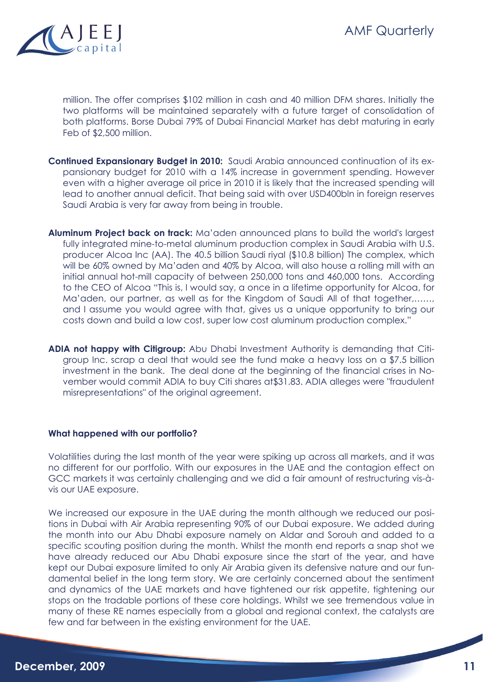

million. The offer comprises \$102 million in cash and 40 million DFM shares. Initially the two platforms will be maintained separately with a future target of consolidation of both platforms. Borse Dubai 79% of Dubai Financial Market has debt maturing in early Feb of \$2,500 million.

- **Continued Expansionary Budget in 2010:** Saudi Arabia announced continuation of its expansionary budget for 2010 with a 14% increase in government spending. However even with a higher average oil price in 2010 it is likely that the increased spending will lead to another annual deficit. That being said with over USD400bln in foreign reserves Saudi Arabia is very far away from being in trouble.
- **Aluminum Project back on track:** Ma'aden announced plans to build the world's largest fully integrated mine-to-metal aluminum production complex in Saudi Arabia with U.S. producer Alcoa Inc (AA). The 40.5 billion Saudi riyal (\$10.8 billion) The complex, which will be 60% owned by Ma'aden and 40% by Alcoa, will also house a rolling mill with an initial annual hot-mill capacity of between 250,000 tons and 460,000 tons. According to the CEO of Alcoa "This is, I would say, a once in a lifetime opportunity for Alcoa, for Ma'aden, our partner, as well as for the Kingdom of Saudi All of that together,……, and I assume you would agree with that, gives us a unique opportunity to bring our costs down and build a low cost, super low cost aluminum production complex."
- **ADIA not happy with Citigroup:** Abu Dhabi Investment Authority is demanding that Citigroup Inc. scrap a deal that would see the fund make a heavy loss on a \$7.5 billion investment in the bank. The deal done at the beginning of the financial crises in November would commit ADIA to buy Citi shares at\$31.83. ADIA alleges were "fraudulent misrepresentations" of the original agreement.

# **What happened with our portfolio?**

Volatilities during the last month of the year were spiking up across all markets, and it was no different for our portfolio. With our exposures in the UAE and the contagion effect on GCC markets it was certainly challenging and we did a fair amount of restructuring vis-àvis our UAE exposure.

We increased our exposure in the UAE during the month although we reduced our positions in Dubai with Air Arabia representing 90% of our Dubai exposure. We added during the month into our Abu Dhabi exposure namely on Aldar and Sorouh and added to a specific scouting position during the month. Whilst the month end reports a snap shot we have already reduced our Abu Dhabi exposure since the start of the year, and have kept our Dubai exposure limited to only Air Arabia given its defensive nature and our fundamental belief in the long term story. We are certainly concerned about the sentiment and dynamics of the UAE markets and have tightened our risk appetite, tightening our stops on the tradable portions of these core holdings. Whilst we see tremendous value in many of these RE names especially from a global and regional context, the catalysts are few and far between in the existing environment for the UAE.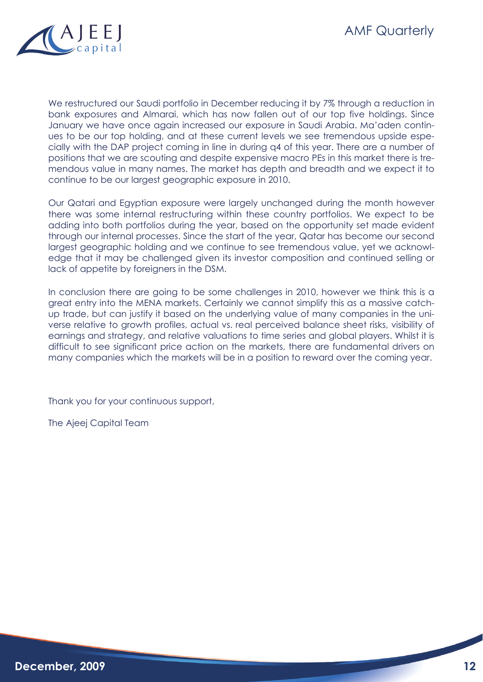

We restructured our Saudi portfolio in December reducing it by 7% through a reduction in bank exposures and Almarai, which has now fallen out of our top five holdings. Since January we have once again increased our exposure in Saudi Arabia. Ma'aden continues to be our top holding, and at these current levels we see tremendous upside especially with the DAP project coming in line in during q4 of this year. There are a number of positions that we are scouting and despite expensive macro PEs in this market there is tremendous value in many names. The market has depth and breadth and we expect it to continue to be our largest geographic exposure in 2010.

Our Qatari and Egyptian exposure were largely unchanged during the month however there was some internal restructuring within these country portfolios. We expect to be adding into both portfolios during the year, based on the opportunity set made evident through our internal processes. Since the start of the year, Qatar has become our second largest geographic holding and we continue to see tremendous value, yet we acknowledge that it may be challenged given its investor composition and continued selling or lack of appetite by foreigners in the DSM.

In conclusion there are going to be some challenges in 2010, however we think this is a great entry into the MENA markets. Certainly we cannot simplify this as a massive catchup trade, but can justify it based on the underlying value of many companies in the universe relative to growth profiles, actual vs. real perceived balance sheet risks, visibility of earnings and strategy, and relative valuations to time series and global players. Whilst it is difficult to see significant price action on the markets, there are fundamental drivers on many companies which the markets will be in a position to reward over the coming year.

Thank you for your continuous support,

The Ajeej Capital Team